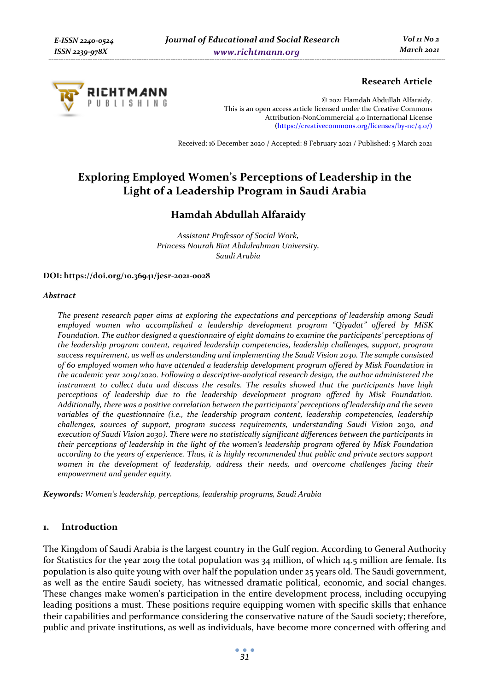

# **Research Article**

© 2021 Hamdah Abdullah Alfaraidy. This is an open access article licensed under the Creative Commons Attribution-NonCommercial 4.0 International License (https://creativecommons.org/licenses/by-nc/4.0/)

Received: 16 December 2020 / Accepted: 8 February 2021 / Published: 5 March 2021

# **Exploring Employed Women's Perceptions of Leadership in the Light of a Leadership Program in Saudi Arabia**

# **Hamdah Abdullah Alfaraidy**

*Assistant Professor of Social Work, Princess Nourah Bint Abdulrahman University, Saudi Arabia*

#### **DOI: https://doi.org/10.36941/jesr-2021-0028**

#### *Abstract*

*The present research paper aims at exploring the expectations and perceptions of leadership among Saudi employed women who accomplished a leadership development program "Qiyadat" offered by MiSK Foundation. The author designed a questionnaire of eight domains to examine the participants' perceptions of the leadership program content, required leadership competencies, leadership challenges, support, program success requirement, as well as understanding and implementing the Saudi Vision 2030. The sample consisted of 60 employed women who have attended a leadership development program offered by Misk Foundation in the academic year 2019/2020. Following a descriptive-analytical research design, the author administered the instrument to collect data and discuss the results. The results showed that the participants have high perceptions of leadership due to the leadership development program offered by Misk Foundation. Additionally, there was a positive correlation between the participants' perceptions of leadership and the seven variables of the questionnaire (i.e., the leadership program content, leadership competencies, leadership challenges, sources of support, program success requirements, understanding Saudi Vision 2030, and execution of Saudi Vision 2030). There were no statistically significant differences between the participants in their perceptions of leadership in the light of the women's leadership program offered by Misk Foundation according to the years of experience. Thus, it is highly recommended that public and private sectors support*  women in the development of leadership, address their needs, and overcome challenges facing their *empowerment and gender equity.* 

*Keywords: Women's leadership, perceptions, leadership programs, Saudi Arabia* 

#### **1. Introduction**

The Kingdom of Saudi Arabia is the largest country in the Gulf region. According to General Authority for Statistics for the year 2019 the total population was 34 million, of which 14.5 million are female. Its population is also quite young with over half the population under 25 years old. The Saudi government, as well as the entire Saudi society, has witnessed dramatic political, economic, and social changes. These changes make women's participation in the entire development process, including occupying leading positions a must. These positions require equipping women with specific skills that enhance their capabilities and performance considering the conservative nature of the Saudi society; therefore, public and private institutions, as well as individuals, have become more concerned with offering and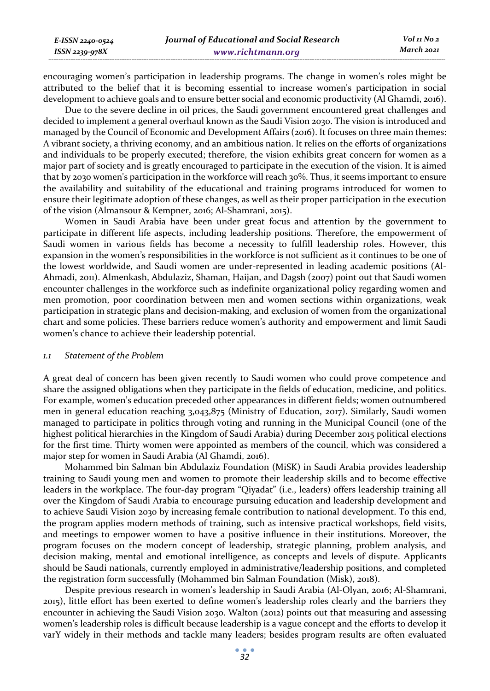encouraging women's participation in leadership programs. The change in women's roles might be attributed to the belief that it is becoming essential to increase women's participation in social development to achieve goals and to ensure better social and economic productivity (Al Ghamdi, 2016).

Due to the severe decline in oil prices, the Saudi government encountered great challenges and decided to implement a general overhaul known as the Saudi Vision 2030. The vision is introduced and managed by the Council of Economic and Development Affairs (2016). It focuses on three main themes: A vibrant society, a thriving economy, and an ambitious nation. It relies on the efforts of organizations and individuals to be properly executed; therefore, the vision exhibits great concern for women as a major part of society and is greatly encouraged to participate in the execution of the vision. It is aimed that by 2030 women's participation in the workforce will reach 30%. Thus, it seems important to ensure the availability and suitability of the educational and training programs introduced for women to ensure their legitimate adoption of these changes, as well as their proper participation in the execution of the vision (Almansour & Kempner, 2016; Al-Shamrani, 2015).

Women in Saudi Arabia have been under great focus and attention by the government to participate in different life aspects, including leadership positions. Therefore, the empowerment of Saudi women in various fields has become a necessity to fulfill leadership roles. However, this expansion in the women's responsibilities in the workforce is not sufficient as it continues to be one of the lowest worldwide, and Saudi women are under-represented in leading academic positions (Al-Ahmadi, 2011). Almenkash, Abdulaziz, Shaman, Haijan, and Dagsh (2007) point out that Saudi women encounter challenges in the workforce such as indefinite organizational policy regarding women and men promotion, poor coordination between men and women sections within organizations, weak participation in strategic plans and decision-making, and exclusion of women from the organizational chart and some policies. These barriers reduce women's authority and empowerment and limit Saudi women's chance to achieve their leadership potential.

#### *1.1 Statement of the Problem*

*E-ISSN 2240-0524 ISSN 2239-978X*

A great deal of concern has been given recently to Saudi women who could prove competence and share the assigned obligations when they participate in the fields of education, medicine, and politics. For example, women's education preceded other appearances in different fields; women outnumbered men in general education reaching 3,043,875 (Ministry of Education, 2017). Similarly, Saudi women managed to participate in politics through voting and running in the Municipal Council (one of the highest political hierarchies in the Kingdom of Saudi Arabia) during December 2015 political elections for the first time. Thirty women were appointed as members of the council, which was considered a major step for women in Saudi Arabia (Al Ghamdi, 2016).

Mohammed bin Salman bin Abdulaziz Foundation (MiSK) in Saudi Arabia provides leadership training to Saudi young men and women to promote their leadership skills and to become effective leaders in the workplace. The four-day program "Qiyadat" (i.e., leaders) offers leadership training all over the Kingdom of Saudi Arabia to encourage pursuing education and leadership development and to achieve Saudi Vision 2030 by increasing female contribution to national development. To this end, the program applies modern methods of training, such as intensive practical workshops, field visits, and meetings to empower women to have a positive influence in their institutions. Moreover, the program focuses on the modern concept of leadership, strategic planning, problem analysis, and decision making, mental and emotional intelligence, as concepts and levels of dispute. Applicants should be Saudi nationals, currently employed in administrative/leadership positions, and completed the registration form successfully (Mohammed bin Salman Foundation (Misk), 2018).

Despite previous research in women's leadership in Saudi Arabia (Al-Olyan, 2016; Al-Shamrani, 2015), little effort has been exerted to define women's leadership roles clearly and the barriers they encounter in achieving the Saudi Vision 2030. Walton (2012) points out that measuring and assessing women's leadership roles is difficult because leadership is a vague concept and the efforts to develop it varY widely in their methods and tackle many leaders; besides program results are often evaluated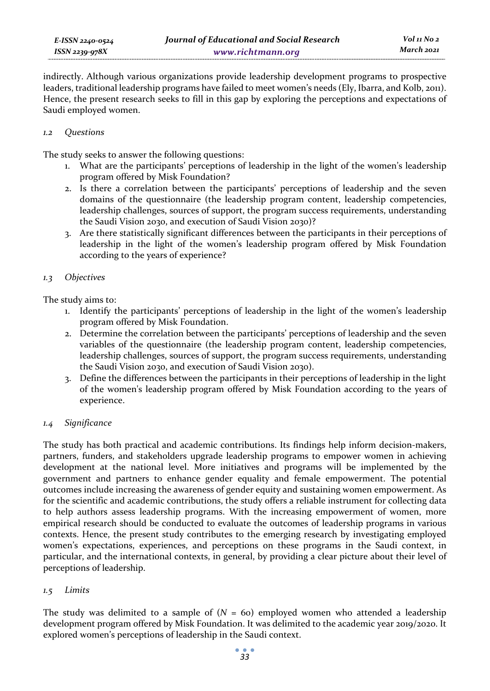indirectly. Although various organizations provide leadership development programs to prospective leaders, traditional leadership programs have failed to meet women's needs (Ely, Ibarra, and Kolb, 2011). Hence, the present research seeks to fill in this gap by exploring the perceptions and expectations of Saudi employed women.

### *1.2 Questions*

The study seeks to answer the following questions:

- 1. What are the participants' perceptions of leadership in the light of the women's leadership program offered by Misk Foundation?
- 2. Is there a correlation between the participants' perceptions of leadership and the seven domains of the questionnaire (the leadership program content, leadership competencies, leadership challenges, sources of support, the program success requirements, understanding the Saudi Vision 2030, and execution of Saudi Vision 2030)?
- 3. Are there statistically significant differences between the participants in their perceptions of leadership in the light of the women's leadership program offered by Misk Foundation according to the years of experience?

### *1.3 Objectives*

The study aims to:

- 1. Identify the participants' perceptions of leadership in the light of the women's leadership program offered by Misk Foundation.
- 2. Determine the correlation between the participants' perceptions of leadership and the seven variables of the questionnaire (the leadership program content, leadership competencies, leadership challenges, sources of support, the program success requirements, understanding the Saudi Vision 2030, and execution of Saudi Vision 2030).
- 3. Define the differences between the participants in their perceptions of leadership in the light of the women's leadership program offered by Misk Foundation according to the years of experience.

# *1.4 Significance*

The study has both practical and academic contributions. Its findings help inform decision-makers, partners, funders, and stakeholders upgrade leadership programs to empower women in achieving development at the national level. More initiatives and programs will be implemented by the government and partners to enhance gender equality and female empowerment. The potential outcomes include increasing the awareness of gender equity and sustaining women empowerment. As for the scientific and academic contributions, the study offers a reliable instrument for collecting data to help authors assess leadership programs. With the increasing empowerment of women, more empirical research should be conducted to evaluate the outcomes of leadership programs in various contexts. Hence, the present study contributes to the emerging research by investigating employed women's expectations, experiences, and perceptions on these programs in the Saudi context, in particular, and the international contexts, in general, by providing a clear picture about their level of perceptions of leadership.

# *1.5 Limits*

The study was delimited to a sample of  $(N = 60)$  employed women who attended a leadership development program offered by Misk Foundation. It was delimited to the academic year 2019/2020. It explored women's perceptions of leadership in the Saudi context.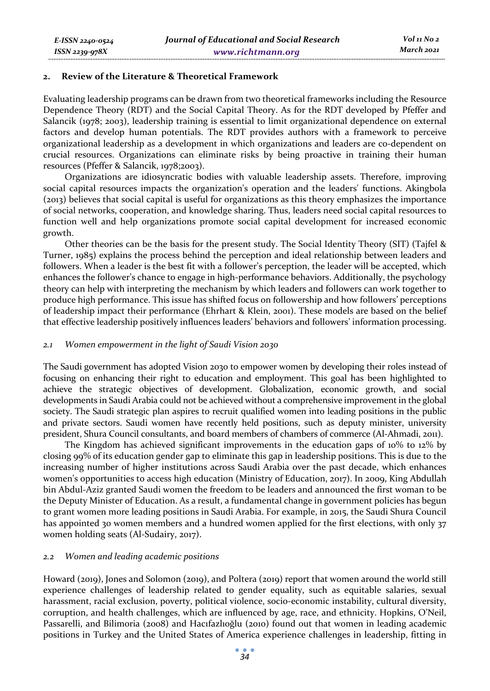#### **2. Review of the Literature & Theoretical Framework**

Evaluating leadership programs can be drawn from two theoretical frameworks including the Resource Dependence Theory (RDT) and the Social Capital Theory. As for the RDT developed by Pfeffer and Salancik (1978; 2003), leadership training is essential to limit organizational dependence on external factors and develop human potentials. The RDT provides authors with a framework to perceive organizational leadership as a development in which organizations and leaders are co-dependent on crucial resources. Organizations can eliminate risks by being proactive in training their human resources (Pfeffer & Salancik, 1978;2003).

Organizations are idiosyncratic bodies with valuable leadership assets. Therefore, improving social capital resources impacts the organization's operation and the leaders' functions. Akingbola (2013) believes that social capital is useful for organizations as this theory emphasizes the importance of social networks, cooperation, and knowledge sharing. Thus, leaders need social capital resources to function well and help organizations promote social capital development for increased economic growth.

Other theories can be the basis for the present study. The Social Identity Theory (SIT) (Tajfel & Turner, 1985) explains the process behind the perception and ideal relationship between leaders and followers. When a leader is the best fit with a follower's perception, the leader will be accepted, which enhances the follower's chance to engage in high-performance behaviors. Additionally, the psychology theory can help with interpreting the mechanism by which leaders and followers can work together to produce high performance. This issue has shifted focus on followership and how followers' perceptions of leadership impact their performance (Ehrhart & Klein, 2001). These models are based on the belief that effective leadership positively influences leaders' behaviors and followers' information processing.

#### *2.1 Women empowerment in the light of Saudi Vision 2030*

The Saudi government has adopted Vision 2030 to empower women by developing their roles instead of focusing on enhancing their right to education and employment. This goal has been highlighted to achieve the strategic objectives of development. Globalization, economic growth, and social developments in Saudi Arabia could not be achieved without a comprehensive improvement in the global society. The Saudi strategic plan aspires to recruit qualified women into leading positions in the public and private sectors. Saudi women have recently held positions, such as deputy minister, university president, Shura Council consultants, and board members of chambers of commerce (Al-Ahmadi, 2011).

The Kingdom has achieved significant improvements in the education gaps of 10% to 12% by closing 99% of its education gender gap to eliminate this gap in leadership positions. This is due to the increasing number of higher institutions across Saudi Arabia over the past decade, which enhances women's opportunities to access high education (Ministry of Education, 2017). In 2009, King Abdullah bin Abdul-Aziz granted Saudi women the freedom to be leaders and announced the first woman to be the Deputy Minister of Education. As a result, a fundamental change in government policies has begun to grant women more leading positions in Saudi Arabia. For example, in 2015, the Saudi Shura Council has appointed 30 women members and a hundred women applied for the first elections, with only 37 women holding seats (Al-Sudairy, 2017).

#### *2.2 Women and leading academic positions*

Howard (2019), Jones and Solomon (2019), and Poltera (2019) report that women around the world still experience challenges of leadership related to gender equality, such as equitable salaries, sexual harassment, racial exclusion, poverty, political violence, socio-economic instability, cultural diversity, corruption, and health challenges, which are influenced by age, race, and ethnicity. Hopkins, O'Neil, Passarelli, and Bilimoria (2008) and Hacıfazlıoğlu (2010) found out that women in leading academic positions in Turkey and the United States of America experience challenges in leadership, fitting in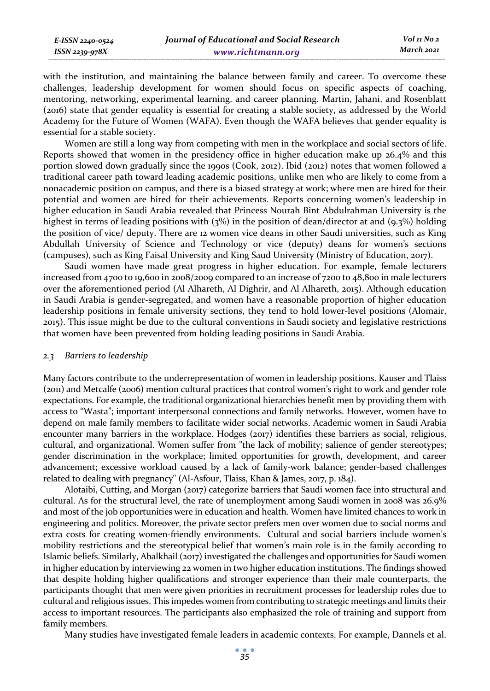*Vol 11 No 2 March 2021*

with the institution, and maintaining the balance between family and career. To overcome these challenges, leadership development for women should focus on specific aspects of coaching, mentoring, networking, experimental learning, and career planning. Martin, Jahani, and Rosenblatt (2016) state that gender equality is essential for creating a stable society, as addressed by the World Academy for the Future of Women (WAFA). Even though the WAFA believes that gender equality is essential for a stable society.

Women are still a long way from competing with men in the workplace and social sectors of life. Reports showed that women in the presidency office in higher education make up 26.4% and this portion slowed down gradually since the 1990s (Cook, 2012). Ibid (2012) notes that women followed a traditional career path toward leading academic positions, unlike men who are likely to come from a nonacademic position on campus, and there is a biased strategy at work; where men are hired for their potential and women are hired for their achievements. Reports concerning women's leadership in higher education in Saudi Arabia revealed that Princess Nourah Bint Abdulrahman University is the highest in terms of leading positions with (3%) in the position of dean/director at and (9.3%) holding the position of vice/ deputy. There are 12 women vice deans in other Saudi universities, such as King Abdullah University of Science and Technology or vice (deputy) deans for women's sections (campuses), such as King Faisal University and King Saud University (Ministry of Education, 2017).

Saudi women have made great progress in higher education. For example, female lecturers increased from 4700 to 19,600 in 2008/2009 compared to an increase of 7200 to 48,800 in male lecturers over the aforementioned period (Al Alhareth, Al Dighrir, and Al Alhareth, 2015). Although education in Saudi Arabia is gender-segregated, and women have a reasonable proportion of higher education leadership positions in female university sections, they tend to hold lower-level positions (Alomair, 2015). This issue might be due to the cultural conventions in Saudi society and legislative restrictions that women have been prevented from holding leading positions in Saudi Arabia.

#### *2.3 Barriers to leadership*

Many factors contribute to the underrepresentation of women in leadership positions. Kauser and Tlaiss (2011) and Metcalfe (2006) mention cultural practices that control women's right to work and gender role expectations. For example, the traditional organizational hierarchies benefit men by providing them with access to "Wasta"; important interpersonal connections and family networks. However, women have to depend on male family members to facilitate wider social networks. Academic women in Saudi Arabia encounter many barriers in the workplace. Hodges (2017) identifies these barriers as social, religious, cultural, and organizational. Women suffer from "the lack of mobility; salience of gender stereotypes; gender discrimination in the workplace; limited opportunities for growth, development, and career advancement; excessive workload caused by a lack of family-work balance; gender-based challenges related to dealing with pregnancy" (Al-Asfour, Tlaiss, Khan & James, 2017, p. 184).

Alotaibi, Cutting, and Morgan (2017) categorize barriers that Saudi women face into structural and cultural. As for the structural level, the rate of unemployment among Saudi women in 2008 was 26.9% and most of the job opportunities were in education and health. Women have limited chances to work in engineering and politics. Moreover, the private sector prefers men over women due to social norms and extra costs for creating women-friendly environments. Cultural and social barriers include women's mobility restrictions and the stereotypical belief that women's main role is in the family according to Islamic beliefs. Similarly, Abalkhail (2017) investigated the challenges and opportunities for Saudi women in higher education by interviewing 22 women in two higher education institutions. The findings showed that despite holding higher qualifications and stronger experience than their male counterparts, the participants thought that men were given priorities in recruitment processes for leadership roles due to cultural and religious issues. This impedes women from contributing to strategic meetings and limits their access to important resources. The participants also emphasized the role of training and support from family members.

Many studies have investigated female leaders in academic contexts. For example, Dannels et al.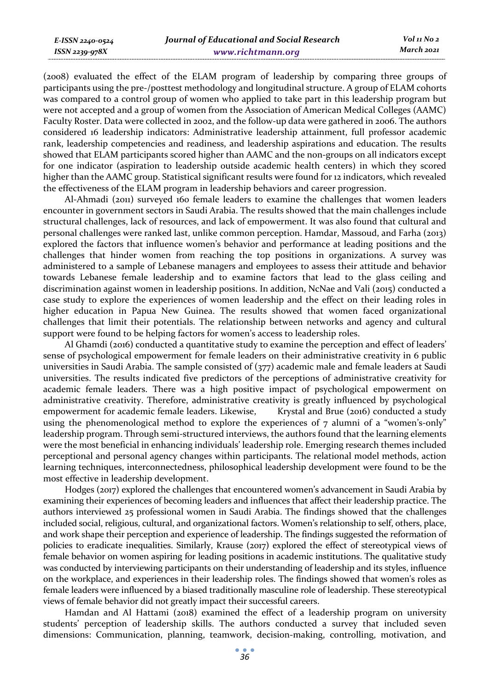(2008) evaluated the effect of the ELAM program of leadership by comparing three groups of participants using the pre-/posttest methodology and longitudinal structure. A group of ELAM cohorts was compared to a control group of women who applied to take part in this leadership program but were not accepted and a group of women from the Association of American Medical Colleges (AAMC) Faculty Roster. Data were collected in 2002, and the follow-up data were gathered in 2006. The authors considered 16 leadership indicators: Administrative leadership attainment, full professor academic rank, leadership competencies and readiness, and leadership aspirations and education. The results showed that ELAM participants scored higher than AAMC and the non-groups on all indicators except for one indicator (aspiration to leadership outside academic health centers) in which they scored higher than the AAMC group. Statistical significant results were found for 12 indicators, which revealed the effectiveness of the ELAM program in leadership behaviors and career progression.

Al-Ahmadi (2011) surveyed 160 female leaders to examine the challenges that women leaders encounter in government sectors in Saudi Arabia. The results showed that the main challenges include structural challenges, lack of resources, and lack of empowerment. It was also found that cultural and personal challenges were ranked last, unlike common perception. Hamdar, Massoud, and Farha (2013) explored the factors that influence women's behavior and performance at leading positions and the challenges that hinder women from reaching the top positions in organizations. A survey was administered to a sample of Lebanese managers and employees to assess their attitude and behavior towards Lebanese female leadership and to examine factors that lead to the glass ceiling and discrimination against women in leadership positions. In addition, NcNae and Vali (2015) conducted a case study to explore the experiences of women leadership and the effect on their leading roles in higher education in Papua New Guinea. The results showed that women faced organizational challenges that limit their potentials. The relationship between networks and agency and cultural support were found to be helping factors for women's access to leadership roles.

Al Ghamdi (2016) conducted a quantitative study to examine the perception and effect of leaders' sense of psychological empowerment for female leaders on their administrative creativity in 6 public universities in Saudi Arabia. The sample consisted of (377) academic male and female leaders at Saudi universities. The results indicated five predictors of the perceptions of administrative creativity for academic female leaders. There was a high positive impact of psychological empowerment on administrative creativity. Therefore, administrative creativity is greatly influenced by psychological empowerment for academic female leaders. Likewise, Krystal and Brue (2016) conducted a study using the phenomenological method to explore the experiences of 7 alumni of a "women's-only" leadership program. Through semi-structured interviews, the authors found that the learning elements were the most beneficial in enhancing individuals' leadership role. Emerging research themes included perceptional and personal agency changes within participants. The relational model methods, action learning techniques, interconnectedness, philosophical leadership development were found to be the most effective in leadership development.

Hodges (2017) explored the challenges that encountered women's advancement in Saudi Arabia by examining their experiences of becoming leaders and influences that affect their leadership practice. The authors interviewed 25 professional women in Saudi Arabia. The findings showed that the challenges included social, religious, cultural, and organizational factors. Women's relationship to self, others, place, and work shape their perception and experience of leadership. The findings suggested the reformation of policies to eradicate inequalities. Similarly, Krause (2017) explored the effect of stereotypical views of female behavior on women aspiring for leading positions in academic institutions. The qualitative study was conducted by interviewing participants on their understanding of leadership and its styles, influence on the workplace, and experiences in their leadership roles. The findings showed that women's roles as female leaders were influenced by a biased traditionally masculine role of leadership. These stereotypical views of female behavior did not greatly impact their successful careers.

Hamdan and Al Hattami (2018) examined the effect of a leadership program on university students' perception of leadership skills. The authors conducted a survey that included seven dimensions: Communication, planning, teamwork, decision-making, controlling, motivation, and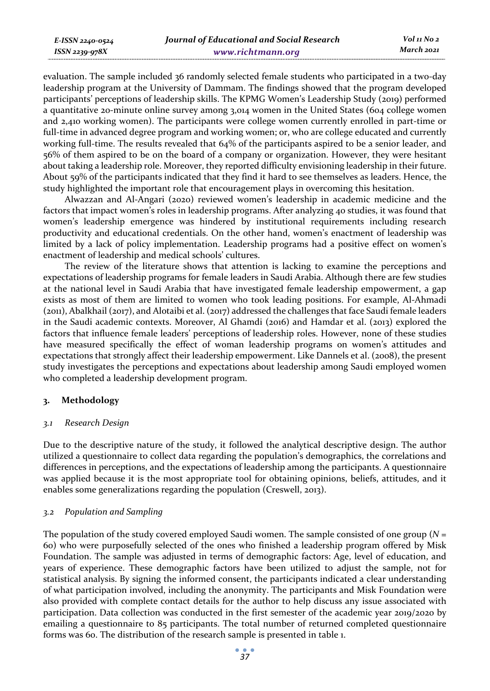evaluation. The sample included 36 randomly selected female students who participated in a two-day leadership program at the University of Dammam. The findings showed that the program developed participants' perceptions of leadership skills. The KPMG Women's Leadership Study (2019) performed a quantitative 20-minute online survey among 3,014 women in the United States (604 college women and 2,410 working women). The participants were college women currently enrolled in part-time or full-time in advanced degree program and working women; or, who are college educated and currently working full-time. The results revealed that 64% of the participants aspired to be a senior leader, and 56% of them aspired to be on the board of a company or organization. However, they were hesitant about taking a leadership role. Moreover, they reported difficulty envisioning leadership in their future. About 59% of the participants indicated that they find it hard to see themselves as leaders. Hence, the study highlighted the important role that encouragement plays in overcoming this hesitation.

Alwazzan and Al-Angari (2020) reviewed women's leadership in academic medicine and the factors that impact women's roles in leadership programs. After analyzing 40 studies, it was found that women's leadership emergence was hindered by institutional requirements including research productivity and educational credentials. On the other hand, women's enactment of leadership was limited by a lack of policy implementation. Leadership programs had a positive effect on women's enactment of leadership and medical schools' cultures.

The review of the literature shows that attention is lacking to examine the perceptions and expectations of leadership programs for female leaders in Saudi Arabia. Although there are few studies at the national level in Saudi Arabia that have investigated female leadership empowerment, a gap exists as most of them are limited to women who took leading positions. For example, Al-Ahmadi (2011), Abalkhail (2017), and Alotaibi et al. (2017) addressed the challenges that face Saudi female leaders in the Saudi academic contexts. Moreover, Al Ghamdi (2016) and Hamdar et al. (2013) explored the factors that influence female leaders' perceptions of leadership roles. However, none of these studies have measured specifically the effect of woman leadership programs on women's attitudes and expectations that strongly affect their leadership empowerment. Like Dannels et al. (2008), the present study investigates the perceptions and expectations about leadership among Saudi employed women who completed a leadership development program.

# **3. Methodology**

*E-ISSN 2240-0524 ISSN 2239-978X*

#### *3.1 Research Design*

Due to the descriptive nature of the study, it followed the analytical descriptive design. The author utilized a questionnaire to collect data regarding the population's demographics, the correlations and differences in perceptions, and the expectations of leadership among the participants. A questionnaire was applied because it is the most appropriate tool for obtaining opinions, beliefs, attitudes, and it enables some generalizations regarding the population (Creswell, 2013).

# *3.2 Population and Sampling*

The population of the study covered employed Saudi women. The sample consisted of one group (*N* = 60) who were purposefully selected of the ones who finished a leadership program offered by Misk Foundation. The sample was adjusted in terms of demographic factors: Age, level of education, and years of experience. These demographic factors have been utilized to adjust the sample, not for statistical analysis. By signing the informed consent, the participants indicated a clear understanding of what participation involved, including the anonymity. The participants and Misk Foundation were also provided with complete contact details for the author to help discuss any issue associated with participation. Data collection was conducted in the first semester of the academic year 2019/2020 by emailing a questionnaire to 85 participants. The total number of returned completed questionnaire forms was 60. The distribution of the research sample is presented in table 1.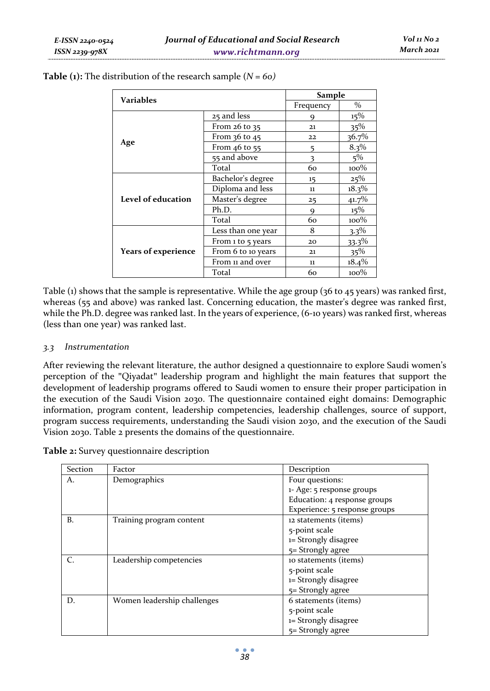|                            |                    | Sample                     |          |  |
|----------------------------|--------------------|----------------------------|----------|--|
| <b>Variables</b>           |                    | $\frac{0}{0}$<br>Frequency |          |  |
|                            | 25 and less        | 9                          | 15%      |  |
|                            | From $26$ to $35$  | 21                         | 35%      |  |
|                            | From $36$ to $45$  | 22                         | 36.7%    |  |
| Age                        | From 46 to 55      | 5                          | 8.3%     |  |
|                            | 55 and above       | 3                          | $5\%$    |  |
|                            | Total              | 60                         | $100\%$  |  |
|                            | Bachelor's degree  | 15                         | 25%      |  |
|                            | Diploma and less   | 11                         | $18.3\%$ |  |
| Level of education         | Master's degree    | 25                         | 41.7%    |  |
|                            | Ph.D.              | 9                          | 15%      |  |
|                            | Total              | 60                         | $100\%$  |  |
|                            | Less than one year | 8                          | $3.3\%$  |  |
|                            | From 1 to 5 years  | 20                         | $33.3\%$ |  |
| <b>Years of experience</b> | From 6 to 10 years | 21                         | 35%      |  |
|                            | From 11 and over   | 11                         | $18.4\%$ |  |
|                            | Total              | 60                         | $100\%$  |  |

**Table (1):** The distribution of the research sample (*N = 60)* 

Table (1) shows that the sample is representative. While the age group (36 to 45 years) was ranked first, whereas (55 and above) was ranked last. Concerning education, the master's degree was ranked first, while the Ph.D. degree was ranked last. In the years of experience, (6-10 years) was ranked first, whereas (less than one year) was ranked last.

#### *3.3 Instrumentation*

After reviewing the relevant literature, the author designed a questionnaire to explore Saudi women's perception of the "Qiyadat" leadership program and highlight the main features that support the development of leadership programs offered to Saudi women to ensure their proper participation in the execution of the Saudi Vision 2030. The questionnaire contained eight domains: Demographic information, program content, leadership competencies, leadership challenges, source of support, program success requirements, understanding the Saudi vision 2030, and the execution of the Saudi Vision 2030. Table 2 presents the domains of the questionnaire.

**Table 2:** Survey questionnaire description

| Section | Factor                      | Description                   |
|---------|-----------------------------|-------------------------------|
| А.      | Demographics                | Four questions:               |
|         |                             | 1- Age: 5 response groups     |
|         |                             | Education: 4 response groups  |
|         |                             | Experience: 5 response groups |
| B.      | Training program content    | 12 statements (items)         |
|         |                             | 5-point scale                 |
|         |                             | 1= Strongly disagree          |
|         |                             | $5 =$ Strongly agree          |
|         | Leadership competencies     | to statements (items)         |
|         |                             | 5-point scale                 |
|         |                             | 1= Strongly disagree          |
|         |                             | 5= Strongly agree             |
| D.      | Women leadership challenges | 6 statements (items)          |
|         |                             | 5-point scale                 |
|         |                             | 1= Strongly disagree          |
|         |                             | 5= Strongly agree             |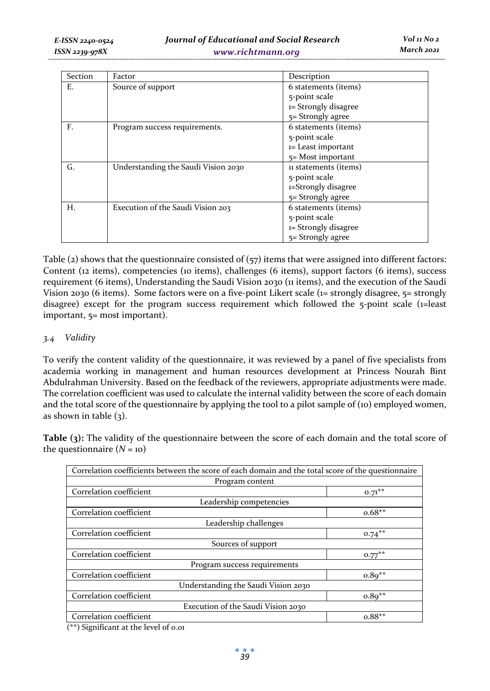| Section | Factor                              | Description           |
|---------|-------------------------------------|-----------------------|
| Е.      | Source of support                   | 6 statements (items)  |
|         |                                     | 5-point scale         |
|         |                                     | 1= Strongly disagree  |
|         |                                     | $5=$ Strongly agree   |
| F.      | Program success requirements.       | 6 statements (items)  |
|         |                                     | 5-point scale         |
|         |                                     | 1= Least important    |
|         |                                     | $5 =$ Most important  |
| G.      | Understanding the Saudi Vision 2030 | 11 statements (items) |
|         |                                     | 5-point scale         |
|         |                                     | 1=Strongly disagree   |
|         |                                     | $5 =$ Strongly agree  |
| Н.      | Execution of the Saudi Vision 203   | 6 statements (items)  |
|         |                                     | 5-point scale         |
|         |                                     | 1= Strongly disagree  |
|         |                                     | 5= Strongly agree     |

Table (2) shows that the questionnaire consisted of (57) items that were assigned into different factors: Content (12 items), competencies (10 items), challenges (6 items), support factors (6 items), success requirement (6 items), Understanding the Saudi Vision 2030 (11 items), and the execution of the Saudi Vision 2030 (6 items). Some factors were on a five-point Likert scale (1= strongly disagree, 5= strongly disagree) except for the program success requirement which followed the 5-point scale (1=least important, 5= most important).

# *3.4 Validity*

To verify the content validity of the questionnaire, it was reviewed by a panel of five specialists from academia working in management and human resources development at Princess Nourah Bint Abdulrahman University. Based on the feedback of the reviewers, appropriate adjustments were made. The correlation coefficient was used to calculate the internal validity between the score of each domain and the total score of the questionnaire by applying the tool to a pilot sample of (10) employed women, as shown in table  $(3)$ .

**Table (3):** The validity of the questionnaire between the score of each domain and the total score of the questionnaire  $(N = 10)$ 

| Correlation coefficients between the score of each domain and the total score of the questionnaire |           |  |  |
|----------------------------------------------------------------------------------------------------|-----------|--|--|
| Program content                                                                                    |           |  |  |
| Correlation coefficient                                                                            | $0.71***$ |  |  |
| Leadership competencies                                                                            |           |  |  |
| Correlation coefficient                                                                            | $0.68**$  |  |  |
| Leadership challenges                                                                              |           |  |  |
| Correlation coefficient                                                                            | $0.74***$ |  |  |
| Sources of support                                                                                 |           |  |  |
| Correlation coefficient                                                                            | $0.77***$ |  |  |
| Program success requirements                                                                       |           |  |  |
| Correlation coefficient                                                                            | $0.89**$  |  |  |
| Understanding the Saudi Vision 2030                                                                |           |  |  |
| Correlation coefficient                                                                            | $0.89**$  |  |  |
| Execution of the Saudi Vision 2030                                                                 |           |  |  |
| Correlation coefficient                                                                            | $0.88**$  |  |  |
| $(\star \star)$ C; $\ldots$ ; $\mathcal{L}_{\text{const}}$ at the level of a set                   |           |  |  |

(\*\*) Significant at the level of 0.01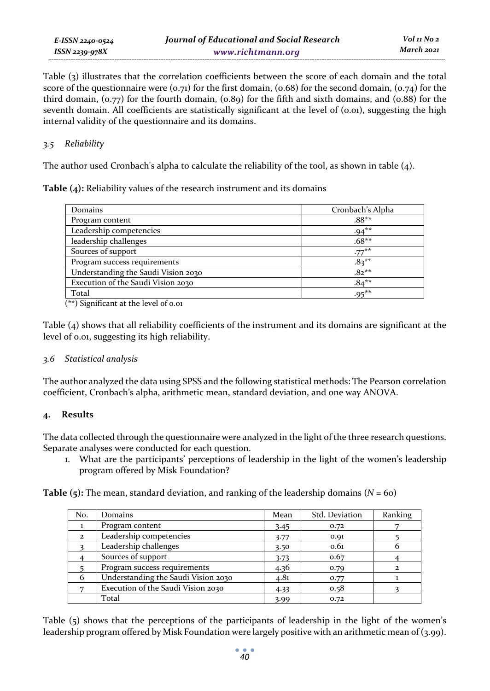Table (3) illustrates that the correlation coefficients between the score of each domain and the total score of the questionnaire were  $(o, \tau_1)$  for the first domain,  $(o, 68)$  for the second domain,  $(o, \tau_4)$  for the third domain,  $(0.77)$  for the fourth domain,  $(0.89)$  for the fifth and sixth domains, and  $(0.88)$  for the seventh domain. All coefficients are statistically significant at the level of  $(0.01)$ , suggesting the high internal validity of the questionnaire and its domains.

# *3.5 Reliability*

*E-ISSN 2240-0524 ISSN 2239-978X*

The author used Cronbach's alpha to calculate the reliability of the tool, as shown in table (4).

**Table (4):** Reliability values of the research instrument and its domains

| Domains                             | Cronbach's Alpha |
|-------------------------------------|------------------|
| Program content                     | $.88**$          |
| Leadership competencies             | $.94***$         |
| leadership challenges               | $.68**$          |
| Sources of support                  | $.77***$         |
| Program success requirements        | $.83***$         |
| Understanding the Saudi Vision 2030 | $.82***$         |
| Execution of the Saudi Vision 2030  | $.84***$         |
| Total                               | $.95***$         |

(\*\*) Significant at the level of 0.01

Table (4) shows that all reliability coefficients of the instrument and its domains are significant at the level of 0.01, suggesting its high reliability.

# *3.6 Statistical analysis*

The author analyzed the data using SPSS and the following statistical methods: The Pearson correlation coefficient, Cronbach's alpha, arithmetic mean, standard deviation, and one way ANOVA.

# **4. Results**

The data collected through the questionnaire were analyzed in the light of the three research questions. Separate analyses were conducted for each question.

1. What are the participants' perceptions of leadership in the light of the women's leadership program offered by Misk Foundation?

**Table (5):** The mean, standard deviation, and ranking of the leadership domains (*N* = 60)

| No.          | Domains                             | Mean | Std. Deviation | Ranking |
|--------------|-------------------------------------|------|----------------|---------|
|              | Program content                     | 3.45 | 0.72           |         |
| $\mathbf{2}$ | Leadership competencies             | 3.77 | 0.91           |         |
|              | Leadership challenges               | 3.50 | 0.61           |         |
|              | Sources of support                  | 3.73 | 0.67           |         |
|              | Program success requirements        | 4.36 | 0.79           |         |
| 6            | Understanding the Saudi Vision 2030 | 4.81 | 0.77           |         |
|              | Execution of the Saudi Vision 2030  | 4.33 | 0.58           |         |
|              | Total                               | 3.99 | 0.72           |         |

Table (5) shows that the perceptions of the participants of leadership in the light of the women's leadership program offered by Misk Foundation were largely positive with an arithmetic mean of (3.99).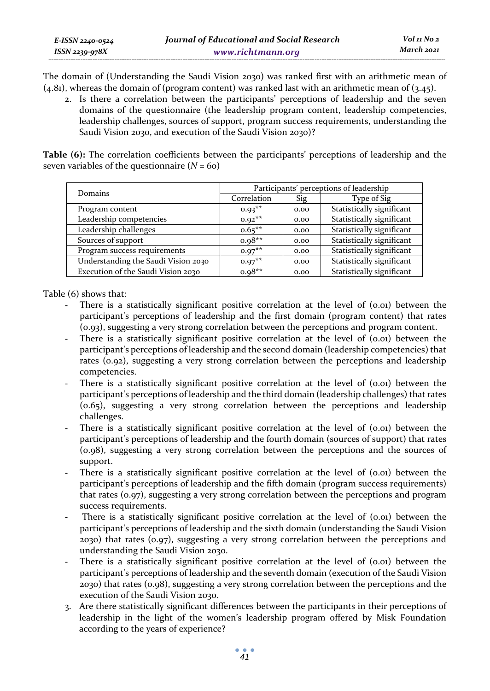The domain of (Understanding the Saudi Vision 2030) was ranked first with an arithmetic mean of (4.81), whereas the domain of (program content) was ranked last with an arithmetic mean of (3.45).

2. Is there a correlation between the participants' perceptions of leadership and the seven domains of the questionnaire (the leadership program content, leadership competencies, leadership challenges, sources of support, program success requirements, understanding the Saudi Vision 2030, and execution of the Saudi Vision 2030)?

**Table (6):** The correlation coefficients between the participants' perceptions of leadership and the seven variables of the questionnaire  $(N = 60)$ 

| Domains                             | Participants' perceptions of leadership |      |                           |  |  |
|-------------------------------------|-----------------------------------------|------|---------------------------|--|--|
|                                     | Correlation                             | Sig  | Type of Sig               |  |  |
| Program content                     | $0.93**$                                | 0.00 | Statistically significant |  |  |
| Leadership competencies             | $0.92**$                                | 0.00 | Statistically significant |  |  |
| Leadership challenges               | $0.65***$                               | 0.00 | Statistically significant |  |  |
| Sources of support                  | $0.98**$                                | 0.00 | Statistically significant |  |  |
| Program success requirements        | $0.97**$                                | 0.00 | Statistically significant |  |  |
| Understanding the Saudi Vision 2030 | $0.97**$                                | 0.00 | Statistically significant |  |  |
| Execution of the Saudi Vision 2030  | $0.98**$                                | 0.00 | Statistically significant |  |  |

Table (6) shows that:

- There is a statistically significant positive correlation at the level of  $(0.01)$  between the participant's perceptions of leadership and the first domain (program content) that rates (0.93), suggesting a very strong correlation between the perceptions and program content.
- There is a statistically significant positive correlation at the level of  $(0.01)$  between the participant's perceptions of leadership and the second domain (leadership competencies) that rates (0.92), suggesting a very strong correlation between the perceptions and leadership competencies.
- There is a statistically significant positive correlation at the level of  $(0.01)$  between the participant's perceptions of leadership and the third domain (leadership challenges) that rates (0.65), suggesting a very strong correlation between the perceptions and leadership challenges.
- There is a statistically significant positive correlation at the level of  $(0.01)$  between the participant's perceptions of leadership and the fourth domain (sources of support) that rates (0.98), suggesting a very strong correlation between the perceptions and the sources of support.
- There is a statistically significant positive correlation at the level of  $(0.01)$  between the participant's perceptions of leadership and the fifth domain (program success requirements) that rates (0.97), suggesting a very strong correlation between the perceptions and program success requirements.
- There is a statistically significant positive correlation at the level of  $(0.01)$  between the participant's perceptions of leadership and the sixth domain (understanding the Saudi Vision 2030) that rates (0.97), suggesting a very strong correlation between the perceptions and understanding the Saudi Vision 2030.
- There is a statistically significant positive correlation at the level of  $(0.01)$  between the participant's perceptions of leadership and the seventh domain (execution of the Saudi Vision 2030) that rates (0.98), suggesting a very strong correlation between the perceptions and the execution of the Saudi Vision 2030.
- 3. Are there statistically significant differences between the participants in their perceptions of leadership in the light of the women's leadership program offered by Misk Foundation according to the years of experience?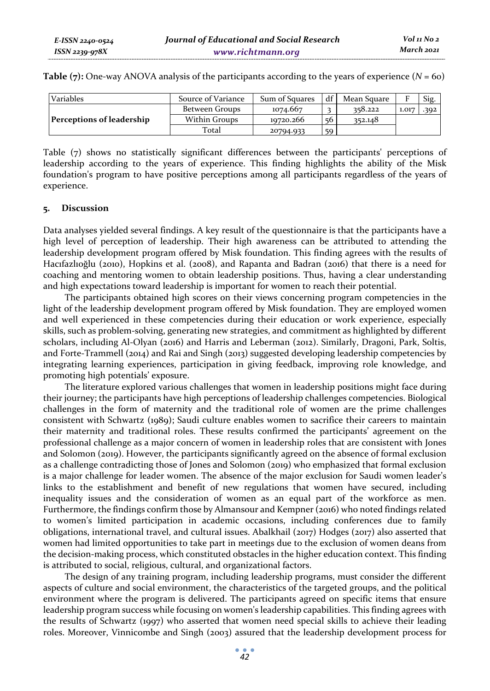| Variables                        | Source of Variance   | Sum of Squares | df | Mean Square |       | Sig. |
|----------------------------------|----------------------|----------------|----|-------------|-------|------|
|                                  | Between Groups       | 1074.667       |    | 358.222     | 1.017 | .392 |
| <b>Perceptions of leadership</b> | <b>Within Groups</b> | 10720.266      | 56 | 352.148     |       |      |
|                                  | Total                | 20794.933      | 59 |             |       |      |

**Table (7):** One-way ANOVA analysis of the participants according to the years of experience (*N* = 60)

Table (7) shows no statistically significant differences between the participants' perceptions of leadership according to the years of experience. This finding highlights the ability of the Misk foundation's program to have positive perceptions among all participants regardless of the years of experience.

### **5. Discussion**

Data analyses yielded several findings. A key result of the questionnaire is that the participants have a high level of perception of leadership. Their high awareness can be attributed to attending the leadership development program offered by Misk foundation. This finding agrees with the results of Hacıfazlıoğlu (2010), Hopkins et al. (2008), and Rapanta and Badran (2016) that there is a need for coaching and mentoring women to obtain leadership positions. Thus, having a clear understanding and high expectations toward leadership is important for women to reach their potential.

The participants obtained high scores on their views concerning program competencies in the light of the leadership development program offered by Misk foundation. They are employed women and well experienced in these competencies during their education or work experience, especially skills, such as problem-solving, generating new strategies, and commitment as highlighted by different scholars, including Al-Olyan (2016) and Harris and Leberman (2012). Similarly, Dragoni, Park, Soltis, and Forte-Trammell (2014) and Rai and Singh (2013) suggested developing leadership competencies by integrating learning experiences, participation in giving feedback, improving role knowledge, and promoting high potentials' exposure.

The literature explored various challenges that women in leadership positions might face during their journey; the participants have high perceptions of leadership challenges competencies. Biological challenges in the form of maternity and the traditional role of women are the prime challenges consistent with Schwartz (1989); Saudi culture enables women to sacrifice their careers to maintain their maternity and traditional roles. These results confirmed the participants' agreement on the professional challenge as a major concern of women in leadership roles that are consistent with Jones and Solomon (2019). However, the participants significantly agreed on the absence of formal exclusion as a challenge contradicting those of Jones and Solomon (2019) who emphasized that formal exclusion is a major challenge for leader women. The absence of the major exclusion for Saudi women leader's links to the establishment and benefit of new regulations that women have secured, including inequality issues and the consideration of women as an equal part of the workforce as men. Furthermore, the findings confirm those by Almansour and Kempner (2016) who noted findings related to women's limited participation in academic occasions, including conferences due to family obligations, international travel, and cultural issues. Abalkhail (2017) Hodges (2017) also asserted that women had limited opportunities to take part in meetings due to the exclusion of women deans from the decision-making process, which constituted obstacles in the higher education context. This finding is attributed to social, religious, cultural, and organizational factors.

The design of any training program, including leadership programs, must consider the different aspects of culture and social environment, the characteristics of the targeted groups, and the political environment where the program is delivered. The participants agreed on specific items that ensure leadership program success while focusing on women's leadership capabilities. This finding agrees with the results of Schwartz (1997) who asserted that women need special skills to achieve their leading roles. Moreover, Vinnicombe and Singh (2003) assured that the leadership development process for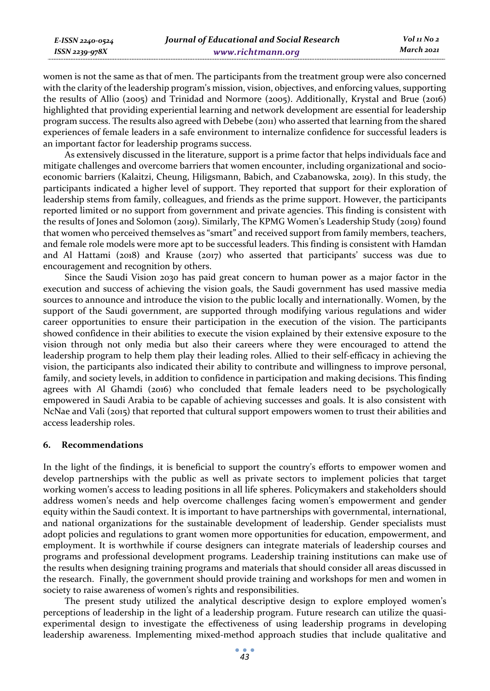| E-ISSN 2240-0524    | Journal of Educational and Social Research | $Vol_{II}$ No 2 |
|---------------------|--------------------------------------------|-----------------|
| $ISSN$ 2239-97 $8X$ | www.richtmann.org                          | March 2021      |
|                     |                                            |                 |

women is not the same as that of men. The participants from the treatment group were also concerned with the clarity of the leadership program's mission, vision, objectives, and enforcing values, supporting the results of Allio (2005) and Trinidad and Normore (2005). Additionally, Krystal and Brue (2016) highlighted that providing experiential learning and network development are essential for leadership program success. The results also agreed with Debebe (2011) who asserted that learning from the shared experiences of female leaders in a safe environment to internalize confidence for successful leaders is an important factor for leadership programs success.

As extensively discussed in the literature, support is a prime factor that helps individuals face and mitigate challenges and overcome barriers that women encounter, including organizational and socioeconomic barriers (Kalaitzi, Cheung, Hiligsmann, Babich, and Czabanowska, 2019). In this study, the participants indicated a higher level of support. They reported that support for their exploration of leadership stems from family, colleagues, and friends as the prime support. However, the participants reported limited or no support from government and private agencies. This finding is consistent with the results of Jones and Solomon (2019). Similarly, The KPMG Women's Leadership Study (2019) found that women who perceived themselves as "smart" and received support from family members, teachers, and female role models were more apt to be successful leaders. This finding is consistent with Hamdan and Al Hattami (2018) and Krause (2017) who asserted that participants' success was due to encouragement and recognition by others.

Since the Saudi Vision 2030 has paid great concern to human power as a major factor in the execution and success of achieving the vision goals, the Saudi government has used massive media sources to announce and introduce the vision to the public locally and internationally. Women, by the support of the Saudi government, are supported through modifying various regulations and wider career opportunities to ensure their participation in the execution of the vision. The participants showed confidence in their abilities to execute the vision explained by their extensive exposure to the vision through not only media but also their careers where they were encouraged to attend the leadership program to help them play their leading roles. Allied to their self-efficacy in achieving the vision, the participants also indicated their ability to contribute and willingness to improve personal, family, and society levels, in addition to confidence in participation and making decisions. This finding agrees with Al Ghamdi (2016) who concluded that female leaders need to be psychologically empowered in Saudi Arabia to be capable of achieving successes and goals. It is also consistent with NcNae and Vali (2015) that reported that cultural support empowers women to trust their abilities and access leadership roles.

#### **6. Recommendations**

In the light of the findings, it is beneficial to support the country's efforts to empower women and develop partnerships with the public as well as private sectors to implement policies that target working women's access to leading positions in all life spheres. Policymakers and stakeholders should address women's needs and help overcome challenges facing women's empowerment and gender equity within the Saudi context. It is important to have partnerships with governmental, international, and national organizations for the sustainable development of leadership. Gender specialists must adopt policies and regulations to grant women more opportunities for education, empowerment, and employment. It is worthwhile if course designers can integrate materials of leadership courses and programs and professional development programs. Leadership training institutions can make use of the results when designing training programs and materials that should consider all areas discussed in the research. Finally, the government should provide training and workshops for men and women in society to raise awareness of women's rights and responsibilities.

The present study utilized the analytical descriptive design to explore employed women's perceptions of leadership in the light of a leadership program. Future research can utilize the quasiexperimental design to investigate the effectiveness of using leadership programs in developing leadership awareness. Implementing mixed-method approach studies that include qualitative and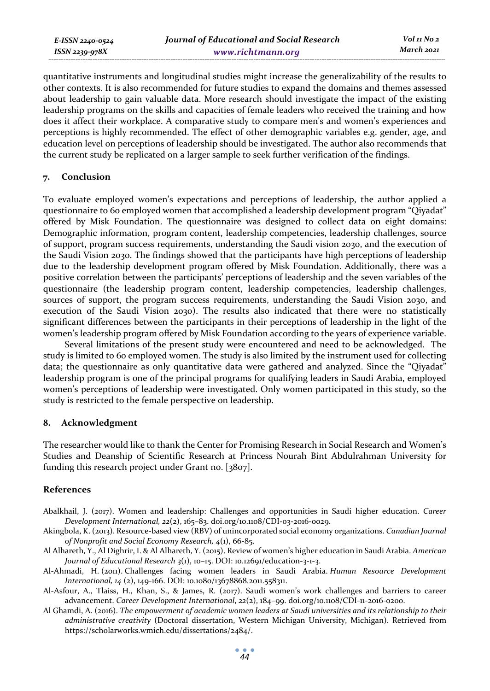*E-ISSN 2240-0524 ISSN 2239-978X*

quantitative instruments and longitudinal studies might increase the generalizability of the results to other contexts. It is also recommended for future studies to expand the domains and themes assessed about leadership to gain valuable data. More research should investigate the impact of the existing leadership programs on the skills and capacities of female leaders who received the training and how does it affect their workplace. A comparative study to compare men's and women's experiences and perceptions is highly recommended. The effect of other demographic variables e.g. gender, age, and education level on perceptions of leadership should be investigated. The author also recommends that the current study be replicated on a larger sample to seek further verification of the findings.

### **7. Conclusion**

To evaluate employed women's expectations and perceptions of leadership, the author applied a questionnaire to 60 employed women that accomplished a leadership development program "Qiyadat" offered by Misk Foundation. The questionnaire was designed to collect data on eight domains: Demographic information, program content, leadership competencies, leadership challenges, source of support, program success requirements, understanding the Saudi vision 2030, and the execution of the Saudi Vision 2030. The findings showed that the participants have high perceptions of leadership due to the leadership development program offered by Misk Foundation. Additionally, there was a positive correlation between the participants' perceptions of leadership and the seven variables of the questionnaire (the leadership program content, leadership competencies, leadership challenges, sources of support, the program success requirements, understanding the Saudi Vision 2030, and execution of the Saudi Vision 2030). The results also indicated that there were no statistically significant differences between the participants in their perceptions of leadership in the light of the women's leadership program offered by Misk Foundation according to the years of experience variable.

Several limitations of the present study were encountered and need to be acknowledged. The study is limited to 60 employed women. The study is also limited by the instrument used for collecting data; the questionnaire as only quantitative data were gathered and analyzed. Since the "Qiyadat" leadership program is one of the principal programs for qualifying leaders in Saudi Arabia, employed women's perceptions of leadership were investigated. Only women participated in this study, so the study is restricted to the female perspective on leadership.

#### **8. Acknowledgment**

The researcher would like to thank the Center for Promising Research in Social Research and Women's Studies and Deanship of Scientific Research at Princess Nourah Bint Abdulrahman University for funding this research project under Grant no. [3807].

# **References**

- Abalkhail, J. (2017). Women and leadership: Challenges and opportunities in Saudi higher education. *Career Development International, 22*(2), 165–83. doi.org/10.1108/CDI-03-2016-0029.
- Akingbola, K. (2013). Resource-based view (RBV) of unincorporated social economy organizations. *Canadian Journal of Nonprofit and Social Economy Research, 4*(1), 66-85.
- Al Alhareth, Y., Al Dighrir, I. & Al Alhareth, Y. (2015). Review of women's higher education in Saudi Arabia. *American Journal of Educational Research 3*(1), 10–15. DOI: 10.12691/education-3-1-3.
- Al-Ahmadi, H. (2011). Challenges facing women leaders in Saudi Arabia. *Human Resource Development International, 14* (2), 149-166. DOI: 10.1080/13678868.2011.558311.
- Al-Asfour, A., Tlaiss, H., Khan, S., & James, R. (2017). Saudi women's work challenges and barriers to career advancement. *Career Development International*, *22*(2), 184–99. doi.org/10.1108/CDI-11-2016-0200.
- Al Ghamdi, A. (2016). *The empowerment of academic women leaders at Saudi universities and its relationship to their administrative creativity* (Doctoral dissertation, Western Michigan University, Michigan). Retrieved from https://scholarworks.wmich.edu/dissertations/2484/.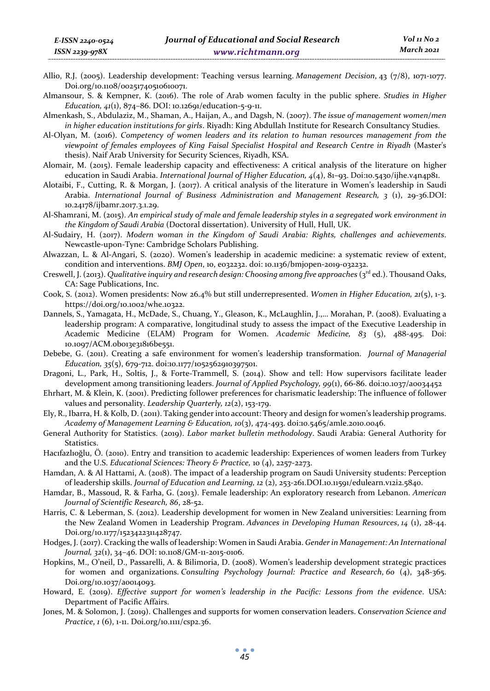- Allio, R.J. (2005). Leadership development: Teaching versus learning. *Management Decision*, 43 (7/8), 1071-1077. Doi.org/10.1108/00251740510610071.
- Almansour, S. & Kempner, K. (2016). The role of Arab women faculty in the public sphere. *Studies in Higher Education, 41*(1), 874–86. DOI: 10.12691/education-5-9-11.
- Almenkash, S., Abdulaziz, M., Shaman, A., Haijan, A., and Dagsh, N. (2007). *The issue of management women/men in higher education institutions for girls*. Riyadh: King Abdullah Institute for Research Consultancy Studies.
- Al-Olyan, M. (2016). *Competency of women leaders and its relation to human resources management from the viewpoint of females employees of King Faisal Specialist Hospital and Research Centre in Riyadh* (Master's thesis). Naif Arab University for Security Sciences, Riyadh, KSA.
- Alomair, M. (2015). Female leadership capacity and effectiveness: A critical analysis of the literature on higher education in Saudi Arabia. *International Journal of Higher Education, 4*(4), 81–93. Doi:10.5430/ijhe.v4n4p81.
- Alotaibi, F., Cutting, R. & Morgan, J. (2017). A critical analysis of the literature in Women's leadership in Saudi Arabia. *International Journal of Business Administration and Management Research, 3* (1), 29-36.DOI: 10.24178/ijbamr.2017.3.1.29.
- Al-Shamrani, M. (2015). *An empirical study of male and female leadership styles in a segregated work environment in the Kingdom of Saudi Arabia* (Doctoral dissertation). University of Hull, Hull, UK.
- Al-Sudairy, H. (2017). *Modern woman in the Kingdom of Saudi Arabia: Rights, challenges and achievements*. Newcastle-upon-Tyne: Cambridge Scholars Publishing.
- Alwazzan, L. & Al-Angari, S. (2020). Women's leadership in academic medicine: a systematic review of extent, condition and interventions. *BMJ Open*, 10, e032232. doi: 10.1136/bmjopen-2019-032232.
- Creswell, J. (2013). *Qualitative inquiry and research design: Choosing among five approaches* (3<sup>rd</sup> ed.). Thousand Oaks, CA: Sage Publications, Inc.
- Cook, S. (2012). Women presidents: Now 26.4% but still underrepresented. *Women in Higher Education, 21*(5), 1-3. https://doi.org/10.1002/whe.10322.
- Dannels, S., Yamagata, H., McDade, S., Chuang, Y., Gleason, K., McLaughlin, J.,… Morahan, P. (2008). Evaluating a leadership program: A comparative, longitudinal study to assess the impact of the Executive Leadership in Academic Medicine (ELAM) Program for Women. *Academic Medicine, 83* (5), 488-495. Doi: 10.1097/ACM.0b013e31816be551.
- Debebe, G. (2011). Creating a safe environment for women's leadership transformation. *Journal of Managerial Education, 35*(5), 679-712. doi:10.1177/1052562910397501.
- Dragoni, L., Park, H., Soltis, J., & Forte-Trammell, S. (2014). Show and tell: How supervisors facilitate leader development among transitioning leaders. *Journal of Applied Psychology, 99*(1), 66-86. doi:10.1037/a0034452
- Ehrhart, M. & Klein, K. (2001). Predicting follower preferences for charismatic leadership: The influence of follower values and personality. *Leadership Quarterly, 12*(2), 153-179.
- Ely, R., Ibarra, H. & Kolb, D. (2011). Taking gender into account: Theory and design for women's leadership programs. *Academy of Management Learning & Education, 10*(3), 474-493. doi:10.5465/amle.2010.0046.
- General Authority for Statistics. (2019). *Labor market bulletin methodology*. Saudi Arabia: General Authority for Statistics.
- Hacıfazlıoğlu, Ö. (2010). Entry and transition to academic leadership: Experiences of women leaders from Turkey and the U.S. *Educational Sciences: Theory & Practice,* 10 (4), 2257-2273.
- Hamdan, A. & Al Hattami, A. (2018). The impact of a leadership program on Saudi University students: Perception of leadership skills. *Journal of Education and Learning, 12* (2), 253-261.DOI.10.11591/edulearn.v12i2.5840.
- Hamdar, B., Massoud, R. & Farha, G. (2013). Female leadership: An exploratory research from Lebanon. *American Journal of Scientific Research, 86*, 28-52.
- Harris, C. & Leberman, S. (2012). Leadership development for women in New Zealand universities: Learning from the New Zealand Women in Leadership Program. *Advances in Developing Human Resources*, *14* (1), 28-44. Doi.org/10.1177/1523422311428747.
- Hodges, J. (2017). Cracking the walls of leadership: Women in Saudi Arabia. *Gender in Management: An International Journal, 32*(1), 34–46. DOI: 10.1108/GM-11-2015-0106.
- Hopkins, M., O'neil, D., Passarelli, A. & Bilimoria, D. (2008). Women's leadership development strategic practices for women and organizations. *Consulting Psychology Journal: Practice and Research*, *60* (4), 348-365. Doi.org/10.1037/a0014093.
- Howard, E. (2019). *Effective support for women's leadership in the Pacific: Lessons from the evidence*. USA: Department of Pacific Affairs.
- Jones, M. & Solomon, J. (2019). Challenges and supports for women conservation leaders. *Conservation Science and Practice*, *1* (6), 1-11. Doi.org/10.1111/csp2.36.